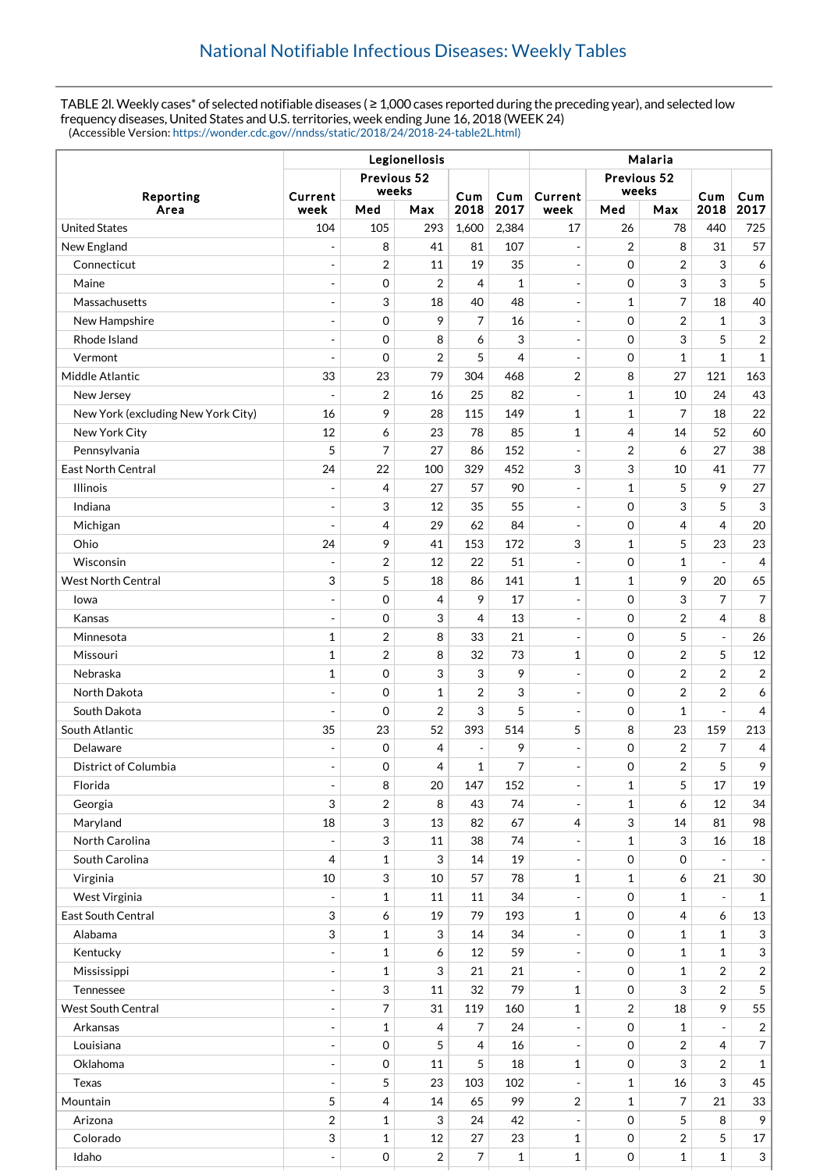TABLE 2l. Weekly cases\* of selected notifiable diseases ( ≥ 1,000 cases reported during the preceding year), and selected low frequency diseases, United States and U.S. territories, week ending June 16, 2018 (WEEK 24) (Accessible Version: [https://wonder.cdc.gov//nndss/static/2018/24/2018-24-table2L.html\)](https://wonder.cdc.gov//nndss/static/2018/24/2018-24-table2L.html)

| Legionellosis                      |                              |                           |                |                          |              | Malaria                      |                     |                |                         |                          |  |
|------------------------------------|------------------------------|---------------------------|----------------|--------------------------|--------------|------------------------------|---------------------|----------------|-------------------------|--------------------------|--|
|                                    | Previous 52                  |                           |                |                          | Previous 52  |                              |                     |                |                         |                          |  |
| Reporting                          | weeks<br>Current             |                           |                | Cum                      | Cum          | Current                      | weeks               |                | Cum                     | Cum                      |  |
| Area                               | week                         | Med                       | Max            | 2018                     | 2017         | week                         | Med                 | Max            | 2018                    | 2017                     |  |
| <b>United States</b>               | 104                          | 105                       | 293            | 1,600                    | 2,384        | 17                           | 26                  | 78             | 440                     | 725                      |  |
| New England                        |                              | 8                         | 41             | 81                       | 107          | $\overline{a}$               | 2                   | 8              | 31                      | 57                       |  |
| Connecticut                        | $\overline{a}$               | $\overline{2}$            | 11             | 19                       | 35           | $\overline{\phantom{a}}$     | 0                   | $\overline{2}$ | 3                       | 6                        |  |
| Maine                              | $\overline{a}$               | 0                         | 2              | 4                        | 1            | $\overline{a}$               | 0                   | 3              | 3                       | 5                        |  |
| Massachusetts                      | $\overline{a}$               | 3                         | 18             | 40                       | 48           | $\qquad \qquad \blacksquare$ | $\mathbf{1}$        | 7              | 18                      | 40                       |  |
| New Hampshire                      | $\overline{a}$               | 0                         | 9              | 7                        | 16           | $\overline{\phantom{a}}$     | 0                   | $\overline{2}$ | 1                       | 3                        |  |
| Rhode Island                       | $\blacksquare$               | 0                         | 8              | 6                        | 3            | $\overline{\phantom{m}}$     | $\mathbf 0$         | 3              | 5                       | $\overline{2}$           |  |
| Vermont                            | ÷,                           | $\mathbf 0$               | $\overline{2}$ | 5                        | 4            | $\overline{\phantom{a}}$     | 0                   | $\mathbf{1}$   | $\mathbf{1}$            | $\mathbf{1}$             |  |
| Middle Atlantic                    | 33                           | 23                        | 79             | 304                      | 468          | $\overline{2}$               | 8                   | 27             | 121                     | 163                      |  |
| New Jersey                         | ÷,                           | $\overline{2}$            | 16             | 25                       | 82           | $\blacksquare$               | $\mathbf{1}$        | 10             | 24                      | 43                       |  |
| New York (excluding New York City) | 16                           | 9                         | 28             | 115                      | 149          | 1                            | $\mathbf{1}$        | $\overline{7}$ | 18                      | 22                       |  |
| New York City                      | 12                           | 6                         | 23             | 78                       | 85           | 1                            | 4                   | 14             | 52                      | 60                       |  |
| Pennsylvania                       | 5                            | 7                         | 27             | 86                       | 152          | $\overline{a}$               | $\overline{2}$      | 6              | 27                      | 38                       |  |
| East North Central                 | 24                           | 22                        | 100            | 329                      | 452          | 3                            | 3                   | 10             | 41                      | $77\,$                   |  |
| <b>Illinois</b>                    | $\overline{\phantom{a}}$     | 4                         | 27             | 57                       | 90           | $\overline{\phantom{a}}$     | $\mathbf{1}$        | 5              | 9                       | 27                       |  |
| Indiana                            | $\blacksquare$               | 3                         | 12             | 35                       | 55           | $\qquad \qquad \blacksquare$ | $\mathbf 0$         | 3              | 5                       | 3                        |  |
| Michigan                           | $\overline{a}$               | 4                         | 29             | 62                       | 84           | ÷,                           | $\mathbf 0$         | 4              | $\overline{4}$          | 20                       |  |
| Ohio                               | 24                           | 9                         | 41             | 153                      | 172          | 3                            | $\mathbf{1}$        | 5              | 23                      | 23                       |  |
| Wisconsin                          | ÷,                           | 2                         | 12             | 22                       | 51           | $\overline{\phantom{a}}$     | 0                   | 1              |                         | 4                        |  |
| <b>West North Central</b>          | 3                            | 5                         | 18             | 86                       | 141          | 1                            | $\mathbf{1}$        | 9              | 20                      | 65                       |  |
| Iowa                               | $\overline{a}$               | 0                         | 4              | 9                        | 17           | $\blacksquare$               | 0                   | 3              | 7                       | 7                        |  |
| Kansas                             | $\overline{a}$               | 0                         | 3              | 4                        | 13           | ÷                            | 0                   | $\overline{2}$ | 4                       | 8                        |  |
| Minnesota                          | $\mathbf{1}$                 | $\overline{2}$            | 8              | 33                       | 21           | $\blacksquare$               | 0                   | 5              | $\blacksquare$          | 26                       |  |
| Missouri                           | $\mathbf{1}$                 | $\overline{2}$            | 8              | 32                       | 73           | 1                            | 0                   | $\overline{2}$ | 5                       | $12\,$                   |  |
| Nebraska                           | $\mathbf{1}$                 | 0                         | 3              | 3                        | 9            | $\blacksquare$               | 0                   | $\overline{2}$ | $\overline{\mathbf{c}}$ | $\overline{\mathbf{c}}$  |  |
| North Dakota                       | $\overline{a}$               | 0                         | $\mathbf{1}$   | $\overline{2}$           | 3            | $\overline{a}$               | $\mathbf 0$         | $\overline{2}$ | $\overline{2}$          | 6                        |  |
| South Dakota                       | $\overline{a}$               | $\mathbf 0$               | 2              | 3                        | 5            | $\overline{a}$               | $\mathbf 0$         | $\mathbf 1$    |                         | 4                        |  |
| South Atlantic                     | 35                           | 23                        | 52             | 393                      | 514          | 5                            | 8                   | 23             | 159                     | 213                      |  |
| Delaware                           | ÷,                           | $\mathbf 0$               | 4              | $\overline{\phantom{a}}$ | 9            | $\overline{\phantom{a}}$     | $\mathbf 0$         | $\overline{2}$ | 7                       | 4                        |  |
| District of Columbia               | $\overline{a}$               | $\mathbf 0$               | 4              | 1                        | 7            | $\sim$                       | 0                   | $\overline{2}$ | 5                       | 9                        |  |
| Florida                            | $\qquad \qquad \blacksquare$ | 8                         | 20             | 147                      | 152          | $\overline{\phantom{a}}$     | $\mathbf{1}$        | 5              | 17                      | 19                       |  |
| Georgia                            | 3                            | $\overline{2}$            | 8              | 43                       | 74           | $\blacksquare$               | $\mathbf{1}$        | 6              | 12                      | 34                       |  |
| Maryland                           | 18                           | 3                         | 13             | 82                       | 67           | 4                            | 3                   | 14             | 81                      | 98                       |  |
| North Carolina                     |                              | $\ensuremath{\mathsf{3}}$ | $11\,$         | 38                       | 74           | $\blacksquare$               | $\mathbf{1}$        | 3              | 16                      | $18\,$                   |  |
| South Carolina                     | 4                            | $\mathbf{1}$              | 3              | 14                       | 19           | $\qquad \qquad \blacksquare$ | $\mathsf{O}\xspace$ | $\mathbf 0$    |                         | $\overline{\phantom{a}}$ |  |
| Virginia                           | 10                           | $\ensuremath{\mathsf{3}}$ | 10             | 57                       | 78           | $\mathbf{1}$                 | $\mathbf{1}$        | 6              | 21                      | $30\,$                   |  |
| West Virginia                      | $\overline{a}$               | $\mathbf{1}$              | 11             | 11                       | 34           | $\overline{a}$               | 0                   | 1              |                         | $\mathbf{1}$             |  |
| East South Central                 | 3                            | 6                         | 19             | 79                       | 193          | $\mathbf{1}$                 | $\mathbf 0$         | 4              | 6                       | 13                       |  |
| Alabama                            | 3                            | $\mathbf{1}$              | 3              | 14                       | 34           | $\overline{a}$               | 0                   | $\mathbf{1}$   | $\mathbf{1}$            | 3                        |  |
| Kentucky                           | $\overline{\phantom{a}}$     | $\mathbf{1}$              | 6              | 12                       | 59           | $\overline{\phantom{0}}$     | $\mathbf 0$         | $\mathbf 1$    | $\mathbf{1}$            | $\sqrt{3}$               |  |
| Mississippi                        | $\overline{a}$               | 1                         | 3              | 21                       | 21           | $\blacksquare$               | 0                   | 1              | $\overline{2}$          | $\overline{2}$           |  |
| Tennessee                          | $\blacksquare$               | 3                         | 11             | 32                       | 79           | 1                            | $\mathsf{O}\xspace$ | 3              | $\overline{2}$          | 5                        |  |
| <b>West South Central</b>          | $\overline{a}$               | $\overline{7}$            | 31             | 119                      | 160          | $\mathbf{1}$                 | $\overline{2}$      | 18             | 9                       | 55                       |  |
| Arkansas                           | $\overline{a}$               | $\mathbf{1}$              | 4              | 7                        | 24           | $\overline{\phantom{0}}$     | $\mathsf{O}\xspace$ | 1              |                         | $\overline{\mathbf{c}}$  |  |
| Louisiana                          | $\overline{a}$               | 0                         | 5              | $\overline{4}$           | 16           | $\blacksquare$               | $\mathbf 0$         | 2              | 4                       | $\boldsymbol{7}$         |  |
| Oklahoma                           | $\overline{a}$               | $\mathsf{O}\xspace$       | 11             | 5                        | 18           | $\mathbf{1}$                 | $\mathbf{O}$        | 3              | $\overline{2}$          | $\mathbf{1}$             |  |
| <b>Texas</b>                       | $\overline{\phantom{a}}$     | 5                         | 23             | 103                      | 102          | $\overline{\phantom{a}}$     | $\mathbf 1$         | 16             | $\mathsf 3$             | 45                       |  |
| Mountain                           | 5                            | $\overline{4}$            | 14             | 65                       | 99           | $\sqrt{2}$                   | $\mathbf{1}$        | $\overline{7}$ | 21                      | 33                       |  |
| Arizona                            | $\overline{c}$               | $\mathbf{1}$              | 3              | 24                       | 42           | $\qquad \qquad \blacksquare$ | $\mathbf 0$         | 5              | 8                       | 9                        |  |
| Colorado                           | 3                            | $\mathbf{1}$              | 12             | 27                       | 23           | 1                            | 0                   | 2              | 5                       | $17\,$                   |  |
| Idaho                              | $\overline{\phantom{a}}$     | 0                         | $\overline{c}$ | 7                        | $\mathbf{1}$ | $\mathbf 1$                  | 0                   | $\mathbf 1$    | $\mathbf 1$             | $\mathfrak{S}$           |  |